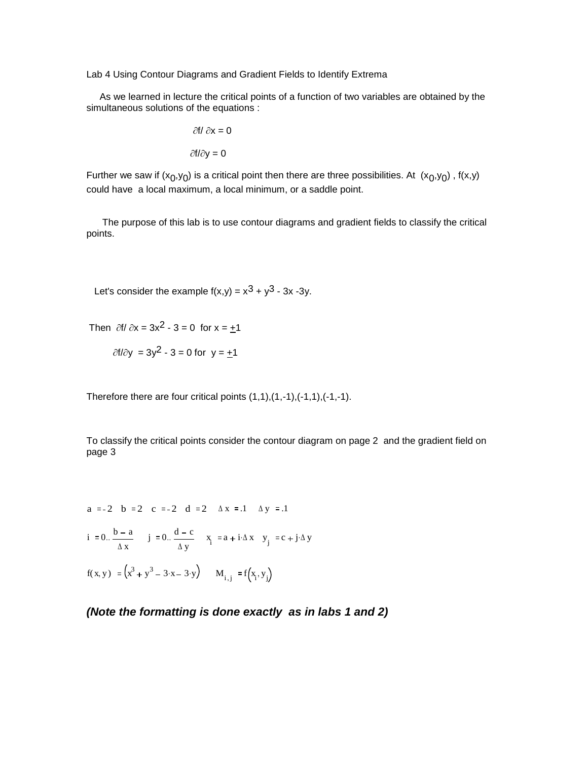Lab 4 Using Contour Diagrams and Gradient Fields to Identify Extrema

 As we learned in lecture the critical points of a function of two variables are obtained by the simultaneous solutions of the equations :

$$
\frac{\partial f}{\partial x} = 0
$$

$$
\frac{\partial f}{\partial y} = 0
$$

Further we saw if  $(x_0, y_0)$  is a critical point then there are three possibilities. At  $(x_0, y_0)$  ,  $f(x,y)$ could have a local maximum, a local minimum, or a saddle point.

 The purpose of this lab is to use contour diagrams and gradient fields to classify the critical points.

Let's consider the example  $f(x,y) = x^3 + y^3 - 3x - 3y$ .

Then  $\partial f/\partial x = 3x^2 - 3 = 0$  for  $x = +1$ 

 $\partial f/\partial y = 3y^2 - 3 = 0$  for  $y = +1$ 

Therefore there are four critical points  $(1,1), (1,-1), (-1,1), (-1,-1)$ .

To classify the critical points consider the contour diagram on page 2 and the gradient field on page 3

a := -2 b := 2 c := -2 d := 2  $\Delta x$  := .1  $\Delta y$  := .1  $i := 0.$   $\frac{b - a}{a}$  $\Delta$  x  $\frac{b-a}{j} = 0.$   $\frac{d-c}{j}$  $\Delta y$  $\therefore \frac{d-c}{dx}$   $\therefore$   $\frac{x}{i} := a + i \Delta x$   $\therefore$   $y_{i} := c + j \Delta y$  $f(x, y) := (x^3 + y^3 - 3 \cdot x - 3 \cdot y)$   $M_{i,j} := f(x, y)$ 

*(Note the formatting is done exactly as in labs 1 and 2)*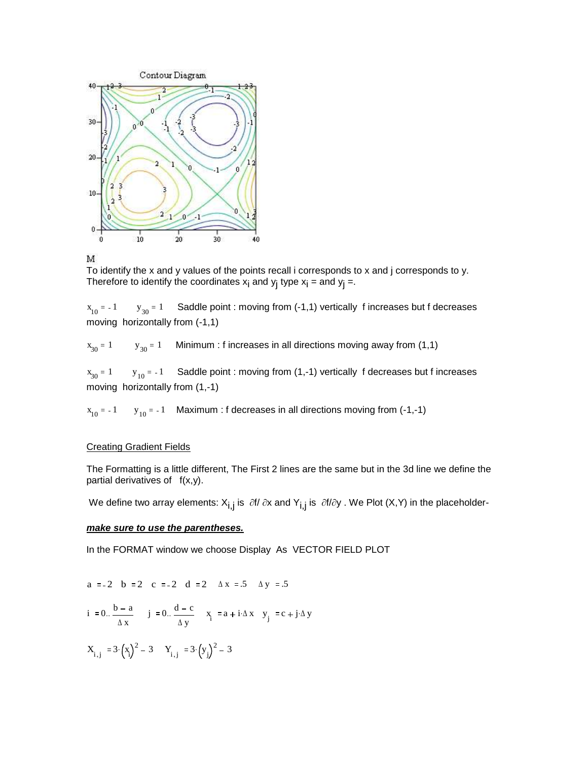

## M

To identify the x and y values of the points recall i corresponds to x and j corresponds to y. Therefore to identify the coordinates  $x_i$  and  $y_j$  type  $x_i$  = and  $y_j$  =.

 $x_{10} = -1$  y  $y_{30} = 1$ Saddle point : moving from (-1,1) vertically f increases but f decreases moving horizontally from (-1,1)

 $x_{30} = 1$  y  $y_{30} = 1$ Minimum : f increases in all directions moving away from (1,1)

 $x_{30} = 1$  y  $_{10}$  = -1 Saddle point : moving from (1,-1) vertically f decreases but f increases moving horizontally from (1,-1)

 $x_{10} = -1$  y  $_{10}$  = -1 Maximum : f decreases in all directions moving from (-1,-1)

## Creating Gradient Fields

The Formatting is a little different, The First 2 lines are the same but in the 3d line we define the partial derivatives of  $f(x,y)$ .

We define two array elements:  $X_{i,j}$  is  $\partial f/\partial x$  and  $Y_{i,j}$  is  $\partial f/\partial y$ . We Plot (X,Y) in the placeholder-

## *make sure to use the parentheses.*

In the FORMAT window we choose Display As VECTOR FIELD PLOT

a := -2 b := 2 c := -2 d := 2 
$$
\Delta x
$$
 = .5  $\Delta y$  = .5

$$
i := 0. \frac{b - a}{\Delta x} \qquad j := 0. \frac{d - c}{\Delta y} \qquad x_i := a + i \cdot \Delta x \qquad y_j := c + j \cdot \Delta y
$$

$$
X_{i,j} := 3 \cdot \left(x_i\right)^2 - 3 \qquad Y_{i,j} := 3 \cdot \left(y_j\right)^2 - 3
$$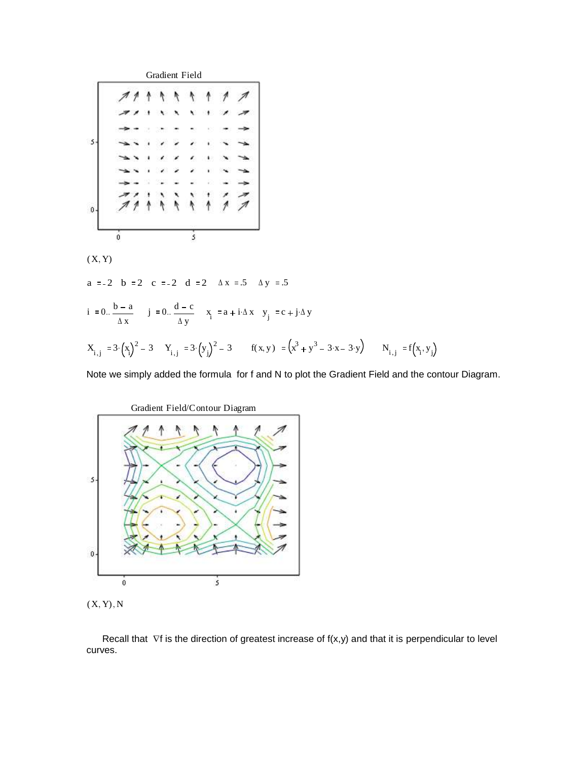

 $(X, Y)$ 

a :=-2 b :=2 c :=-2 d :=2  $\Delta x$  :=.5  $\Delta y$  :=.5

i := 0. 
$$
\frac{b - a}{\Delta x}
$$
 j := 0.  $\frac{d - c}{\Delta y}$  x<sub>i</sub> := a + i $\Delta x$  y<sub>j</sub> := c + j $\Delta y$   
  
 $X_{i,j}$  := 3 $\cdot (x_i)^2 - 3$  Y<sub>i,j</sub> := 3 $\cdot (y_j)^2 - 3$  f(x, y) :=  $(x^3 + y^3 - 3 \cdot x - 3 \cdot y)$  N<sub>i,j</sub> := f(x<sub>i</sub>, y<sub>j</sub>)

Note we simply added the formula for f and N to plot the Gradient Field and the contour Diagram.



 $(X, Y), N$ 

Recall that  $\nabla f$  is the direction of greatest increase of  $f(x,y)$  and that it is perpendicular to level curves.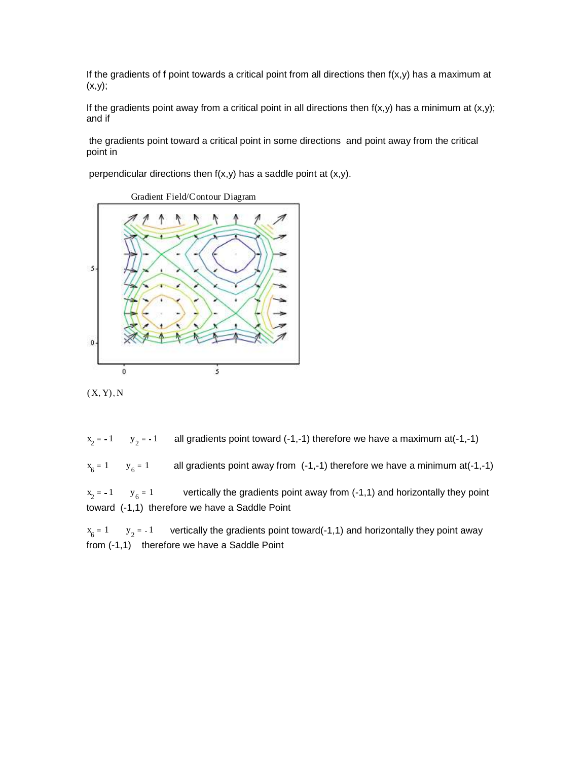If the gradients of f point towards a critical point from all directions then  $f(x,y)$  has a maximum at (x,y);

If the gradients point away from a critical point in all directions then  $f(x,y)$  has a minimum at  $(x,y)$ ; and if

the gradients point toward a critical point in some directions and point away from the critical point in

perpendicular directions then  $f(x,y)$  has a saddle point at  $(x,y)$ .





 $(X, Y), N$ 

 $x_2 = -1$   $y_2$ all gradients point toward  $(-1,-1)$  therefore we have a maximum at $(-1,-1)$  $x_6 = 1 \t y_6$ all gradients point away from  $(-1,-1)$  therefore we have a minimum at $(-1,-1)$  $x_2 = -1$   $y_6$ vertically the gradients point away from (-1,1) and horizontally they point

toward (-1,1) therefore we have a Saddle Point

 $x_6 = 1$   $y_2$ vertically the gradients point toward(-1,1) and horizontally they point away from (-1,1) therefore we have a Saddle Point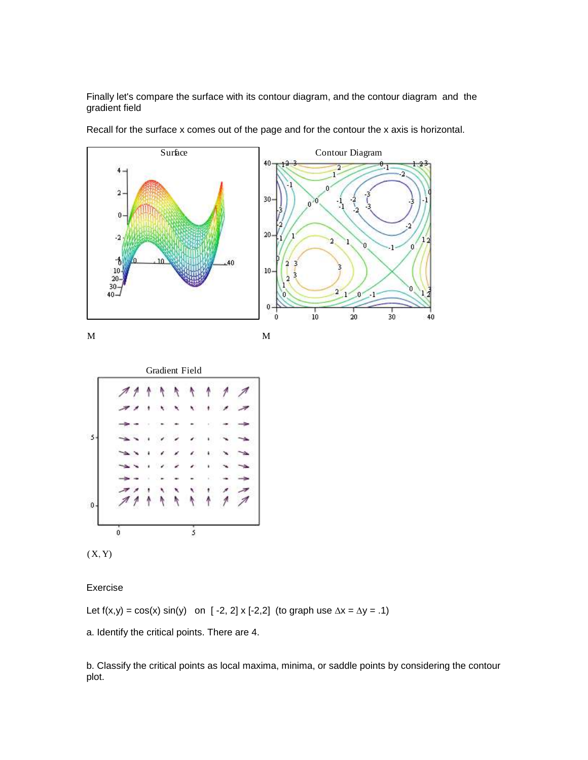Finally let's compare the surface with its contour diagram, and the contour diagram and the gradient field



Recall for the surface x comes out of the page and for the contour the x axis is horizontal.





Exercise

Let  $f(x,y) = cos(x) sin(y)$  on [-2, 2] x [-2,2] (to graph use  $\Delta x = \Delta y = .1$ )

a. Identify the critical points. There are 4.

b. Classify the critical points as local maxima, minima, or saddle points by considering the contour plot.